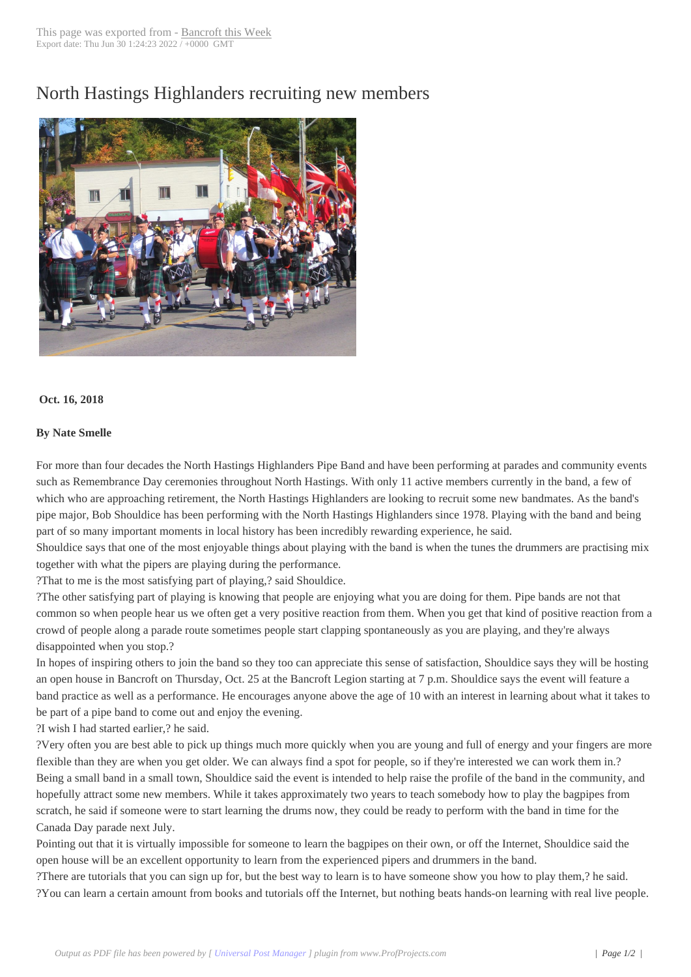## North Hastings Hi[ghlanders rec](http://www.bancroftthisweek.com/?p=9406)ruiting new members



## **Oct. 16, 2018**

## **By Nate Smelle**

For more than four decades the North Hastings Highlanders Pipe Band and have been performing at parades and community events such as Remembrance Day ceremonies throughout North Hastings. With only 11 active members currently in the band, a few of which who are approaching retirement, the North Hastings Highlanders are looking to recruit some new bandmates. As the band's pipe major, Bob Shouldice has been performing with the North Hastings Highlanders since 1978. Playing with the band and being part of so many important moments in local history has been incredibly rewarding experience, he said.

Shouldice says that one of the most enjoyable things about playing with the band is when the tunes the drummers are practising mix together with what the pipers are playing during the performance.

?That to me is the most satisfying part of playing,? said Shouldice.

?The other satisfying part of playing is knowing that people are enjoying what you are doing for them. Pipe bands are not that common so when people hear us we often get a very positive reaction from them. When you get that kind of positive reaction from a crowd of people along a parade route sometimes people start clapping spontaneously as you are playing, and they're always disappointed when you stop.?

In hopes of inspiring others to join the band so they too can appreciate this sense of satisfaction, Shouldice says they will be hosting an open house in Bancroft on Thursday, Oct. 25 at the Bancroft Legion starting at 7 p.m. Shouldice says the event will feature a band practice as well as a performance. He encourages anyone above the age of 10 with an interest in learning about what it takes to be part of a pipe band to come out and enjoy the evening.

?I wish I had started earlier,? he said.

?Very often you are best able to pick up things much more quickly when you are young and full of energy and your fingers are more flexible than they are when you get older. We can always find a spot for people, so if they're interested we can work them in.? Being a small band in a small town, Shouldice said the event is intended to help raise the profile of the band in the community, and hopefully attract some new members. While it takes approximately two years to teach somebody how to play the bagpipes from scratch, he said if someone were to start learning the drums now, they could be ready to perform with the band in time for the Canada Day parade next July.

Pointing out that it is virtually impossible for someone to learn the bagpipes on their own, or off the Internet, Shouldice said the open house will be an excellent opportunity to learn from the experienced pipers and drummers in the band.

?There are tutorials that you can sign up for, but the best way to learn is to have someone show you how to play them,? he said. ?You can learn a certain amount from books and tutorials off the Internet, but nothing beats hands-on learning with real live people.